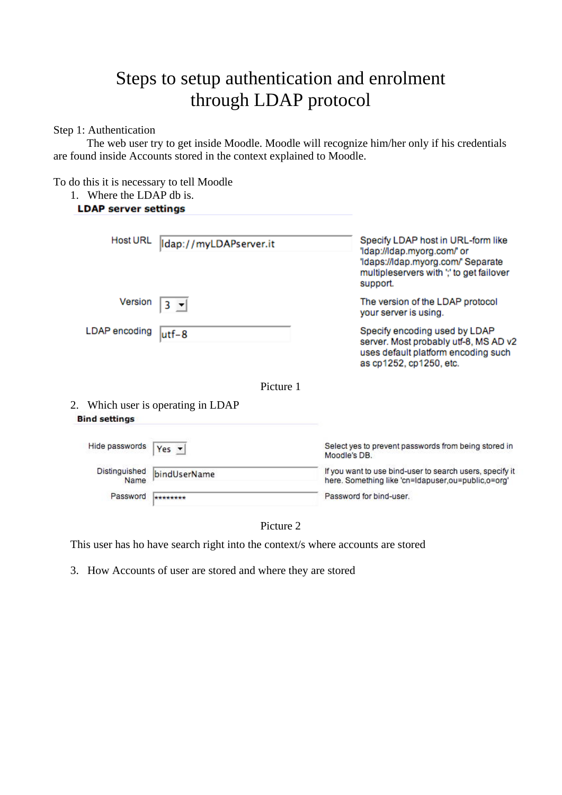# Steps to setup authentication and enrolment through LDAP protocol

Step 1: Authentication

 The web user try to get inside Moodle. Moodle will recognize him/her only if his credentials are found inside Accounts stored in the context explained to Moodle.

To do this it is necessary to tell Moodle

1. Where the LDAP db is.

# **LDAP server settings**

| <b>Host URL</b>       | Idap://myLDAPserver.it             | Specify LDAP host in URL-form like<br>'Idap://Idap.myorg.com/' or<br>'Idaps://Idap.myorg.com/' Separate<br>multipleservers with "," to get failover<br>support. |
|-----------------------|------------------------------------|-----------------------------------------------------------------------------------------------------------------------------------------------------------------|
| Version               |                                    | The version of the LDAP protocol<br>your server is using.                                                                                                       |
| LDAP encoding         | utf-8                              | Specify encoding used by LDAP<br>server. Most probably utf-8, MS AD v2<br>uses default platform encoding such<br>as cp1252, cp1250, etc.                        |
|                       | Picture 1                          |                                                                                                                                                                 |
| <b>Bind settings</b>  | 2. Which user is operating in LDAP |                                                                                                                                                                 |
|                       |                                    |                                                                                                                                                                 |
| Hide passwords        | Yes $\star$                        | Select yes to prevent passwords from being stored in<br>Moodle's DB.                                                                                            |
| Distinguished<br>Name | bindUserName                       | If you want to use bind-user to search users, specify it<br>here. Something like 'cn=Idapuser,ou=public,o=org'                                                  |
| Password              | ********                           | Password for bind-user.                                                                                                                                         |



This user has ho have search right into the context/s where accounts are stored

3. How Accounts of user are stored and where they are stored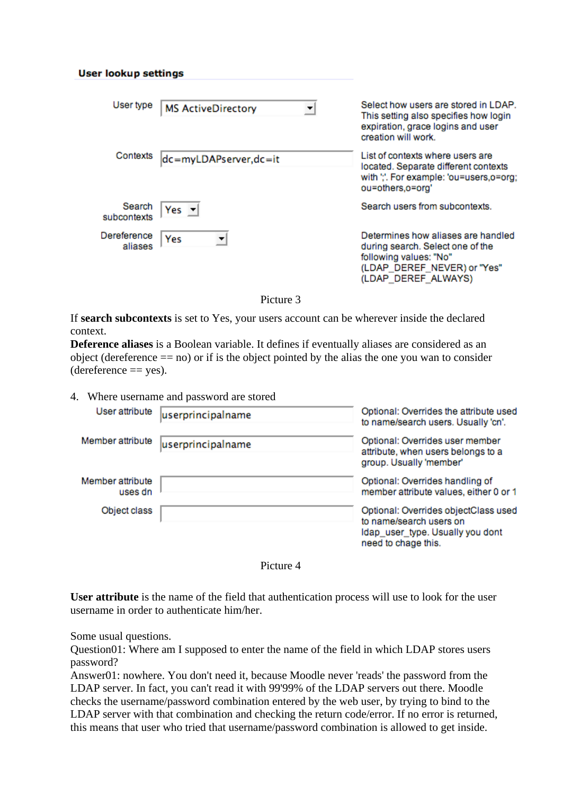#### **User lookup settings**

| User type              | <b>MS ActiveDirectory</b> | Select how users are stored in LDAP.<br>This setting also specifies how login<br>expiration, grace logins and user<br>creation will work.              |
|------------------------|---------------------------|--------------------------------------------------------------------------------------------------------------------------------------------------------|
| Contexts               | dc=myLDAPserver,dc=it     | List of contexts where users are<br>located. Separate different contexts<br>with ",". For example: 'ou=users,o=org;<br>ou=others,o=org'                |
| Search<br>subcontexts  | $Yes -$                   | Search users from subcontexts.                                                                                                                         |
| Dereference<br>aliases | Yes                       | Determines how aliases are handled<br>during search. Select one of the<br>following values: "No"<br>(LDAP_DEREF_NEVER) or "Yes"<br>(LDAP DEREF ALWAYS) |

Picture 3

If **search subcontexts** is set to Yes, your users account can be wherever inside the declared context.

**Deference aliases** is a Boolean variable. It defines if eventually aliases are considered as an object (dereference  $==$  no) or if is the object pointed by the alias the one you wan to consider  $(*def*erference == ves).$ 

4. Where username and password are stored

| User attribute              | userprincipalname | Optional: Overrides the attribute used<br>to name/search users. Usually 'cn'.                                              |
|-----------------------------|-------------------|----------------------------------------------------------------------------------------------------------------------------|
| Member attribute            | userprincipalname | Optional: Overrides user member<br>attribute, when users belongs to a<br>group. Usually 'member'                           |
| Member attribute<br>uses dn |                   | Optional: Overrides handling of<br>member attribute values, either 0 or 1                                                  |
| Object class                |                   | Optional: Overrides objectClass used<br>to name/search users on<br>Idap_user_type. Usually you dont<br>need to chage this. |

Picture 4

**User attribute** is the name of the field that authentication process will use to look for the user username in order to authenticate him/her.

Some usual questions.

Question01: Where am I supposed to enter the name of the field in which LDAP stores users password?

Answer01: nowhere. You don't need it, because Moodle never 'reads' the password from the LDAP server. In fact, you can't read it with 99'99% of the LDAP servers out there. Moodle checks the username/password combination entered by the web user, by trying to bind to the LDAP server with that combination and checking the return code/error. If no error is returned, this means that user who tried that username/password combination is allowed to get inside.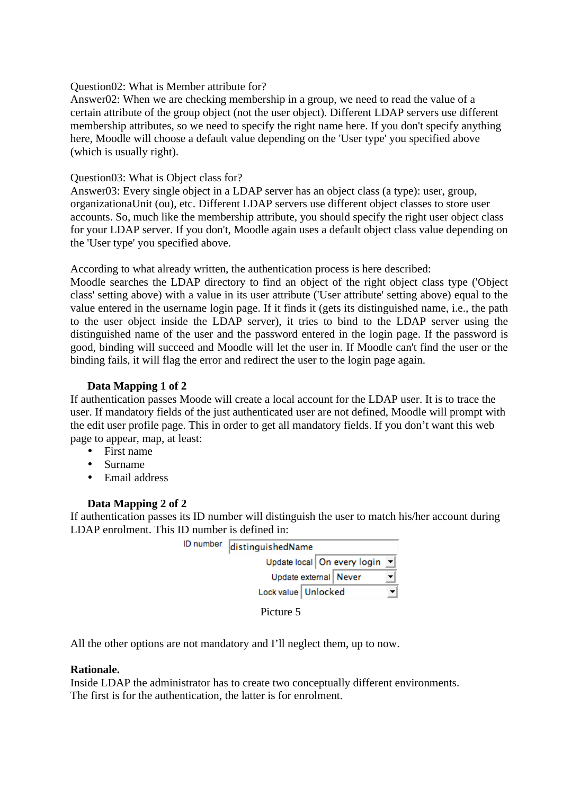## Question02: What is Member attribute for?

Answer02: When we are checking membership in a group, we need to read the value of a certain attribute of the group object (not the user object). Different LDAP servers use different membership attributes, so we need to specify the right name here. If you don't specify anything here, Moodle will choose a default value depending on the 'User type' you specified above (which is usually right).

# Question03: What is Object class for?

Answer03: Every single object in a LDAP server has an object class (a type): user, group, organizationaUnit (ou), etc. Different LDAP servers use different object classes to store user accounts. So, much like the membership attribute, you should specify the right user object class for your LDAP server. If you don't, Moodle again uses a default object class value depending on the 'User type' you specified above.

According to what already written, the authentication process is here described:

Moodle searches the LDAP directory to find an object of the right object class type ('Object class' setting above) with a value in its user attribute ('User attribute' setting above) equal to the value entered in the username login page. If it finds it (gets its distinguished name, i.e., the path to the user object inside the LDAP server), it tries to bind to the LDAP server using the distinguished name of the user and the password entered in the login page. If the password is good, binding will succeed and Moodle will let the user in. If Moodle can't find the user or the binding fails, it will flag the error and redirect the user to the login page again.

# **Data Mapping 1 of 2**

If authentication passes Moode will create a local account for the LDAP user. It is to trace the user. If mandatory fields of the just authenticated user are not defined, Moodle will prompt with the edit user profile page. This in order to get all mandatory fields. If you don't want this web page to appear, map, at least:

- First name
- Surname
- Email address

## **Data Mapping 2 of 2**

If authentication passes its ID number will distinguish the user to match his/her account during LDAP enrolment. This ID number is defined in:

| ID number | distinguishedName             |  |  |
|-----------|-------------------------------|--|--|
|           | Update local   On every login |  |  |
|           | Update external   Never       |  |  |
|           | Lock value   Unlocked         |  |  |
|           |                               |  |  |



All the other options are not mandatory and I'll neglect them, up to now.

## **Rationale.**

Inside LDAP the administrator has to create two conceptually different environments. The first is for the authentication, the latter is for enrolment.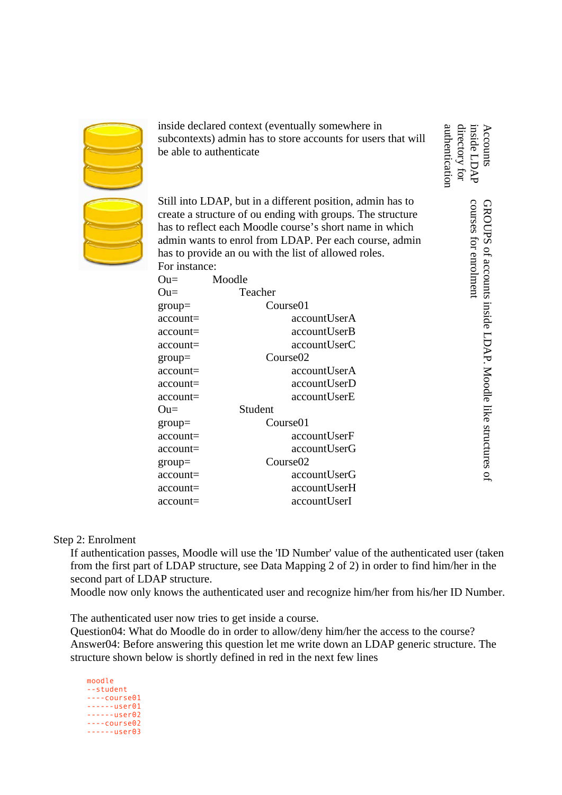inside declared context (eventually somewhere in subcontexts) admin has to store accounts for users that will be able to authenticate

Still into LDAP, but in a different position, admin has to create a structure of ou ending with groups. The structure has to reflect each Moodle course's short name in which admin wants to enrol from LDAP. Per each course, admin has to provide an ou with the list of allowed roles. For instance:

| $\text{Ou}$ = | Moodle   |                      |  |
|---------------|----------|----------------------|--|
| $\text{Ou}$ = | Teacher  |                      |  |
| $group =$     | Course01 |                      |  |
| account=      |          | accountUserA         |  |
| account=      |          | accountUserB         |  |
| account=      |          | accountUserC         |  |
| $group =$     |          | Course <sub>02</sub> |  |
| account=      |          | accountUserA         |  |
| account=      |          | accountUserD         |  |
| account=      |          | accountUserE         |  |
| $\text{Ou}$ = | Student  |                      |  |
| $group =$     | Course01 |                      |  |
| account=      |          | accountUserF         |  |
| account=      |          | accountUserG         |  |
| $group =$     |          | Course <sub>02</sub> |  |
| account=      |          | accountUserG         |  |
| account=      |          | accountUserH         |  |
| account=      |          | accountUserI         |  |

inside LDAP Accounts directory for directory for inside LDAP Accounts courses for enrolment courses for enrolment GROUPS of accounts inside LDAP. Moodle like structures GROUPS of accounts inside LDAP. Moodle like structures of

 $\mathsf{a}$ 

authentication

authenticatior

Step 2: Enrolment

If authentication passes, Moodle will use the 'ID Number' value of the authenticated user (taken from the first part of LDAP structure, see Data Mapping 2 of 2) in order to find him/her in the second part of LDAP structure.

Moodle now only knows the authenticated user and recognize him/her from his/her ID Number.

The authenticated user now tries to get inside a course.

Question04: What do Moodle do in order to allow/deny him/her the access to the course? Answer04: Before answering this question let me write down an LDAP generic structure. The structure shown below is shortly defined in red in the next few lines

moodle --student ----course01  $----<sub>u</sub>$  $----<sub>u</sub>$ ----course02  $----<sub>u</sub>ser03$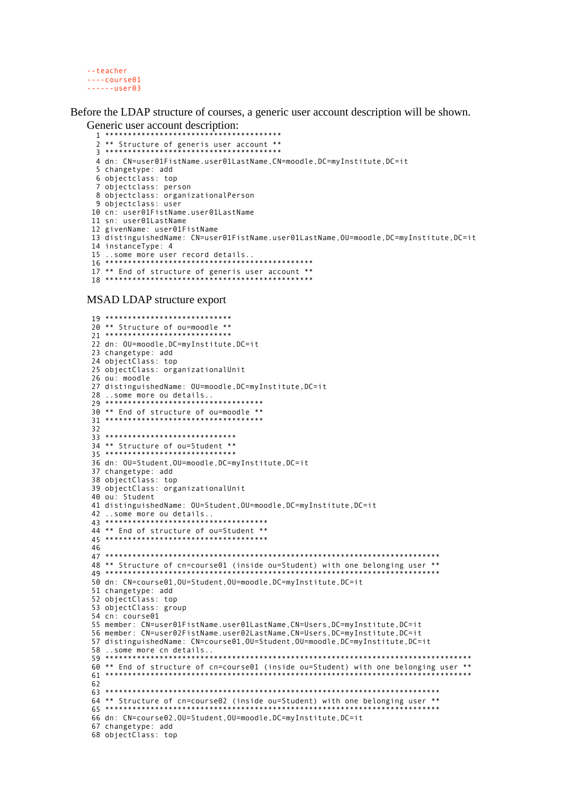```
--teacher
---course01---user@3
```
Before the LDAP structure of courses, a generic user account description will be shown. Generic user account description:

```
2 ** Structure of generis user account **
 3***4 dn: CN=user01FistName.user01LastName, CN=moodle, DC=myInstitute, DC=it
 5 changetype: add
 6 objectclass: top
 7 objectclass: person
8 objectclass: organizationalPerson
9 objectclass: user
10 cn: user01FistName.user01LastName
11 sn: user01LastName
12 givenName: user01FistName
13 distinguishedName: CN=user01FistName.user01LastName, OU=moodle, DC=myInstitute.DC=it
14 instanceType: 4
15 ..some more user record details..
16 *************
                                    .<br>2 april - Antonio anterior anterior anterior anterior anterior.
```
MSAD LDAP structure export

```
20 ** Structure of ou=moodle **
21***22 dn: OU=moodle, DC=myInstitute, DC=it
23 changetype: add
24 objectClass: top
25 objectClass: organizationalUnit
26 ou: moodle
27 distinguishedName: OU=moodle, DC=myInstitute, DC=it
7930 ** End of structure of ou=moodle **
3233 *****************************
34 ** Structure of ou=Student **
35***36 dn: OU=Student, OU=moodle, DC=myInstitute, DC=it
37 changetype: add
38 objectClass: top
39 objectClass: organizationalUnit
40 ou: Student
41 distinguishedName: OU=Student, OU=moodle, DC=myInstitute, DC=it
44 ** End of structure of ou=Student **
45 **********************************
46
48 ** Structure of cn=course01 (inside ou=Student) with one belonging user **
49 ***
50 dn: CN=course01,0U=Student,0U=moodle,DC=myInstitute,DC=it
51 changetype: add
52 objectClass: top
53 objectClass: group
54 cn: course01
55 member: CN=user01FistName.user01LastName, CN=Users, DC=myInstitute, DC=it
56 member: CN=user02FistName.user02LastName,CN=Users,DC=myInstitute,DC=it
57 distinguishedName: CN=course01.0U=Student.0U=moodle.DC=myInstitute.DC=it
60 ** End of structure of cn=course01 (inside ou=Student) with one belonging user **
61***62
<sup>64</sup> ** Structure of cn=course02 (inside ou=Student) with one belonging user **
65 ******************
               ***********
66 dn: CN=course02, OU=Student, OU=moodle, DC=myInstitute, DC=it
67 changetype: add
68 objectClass: top
```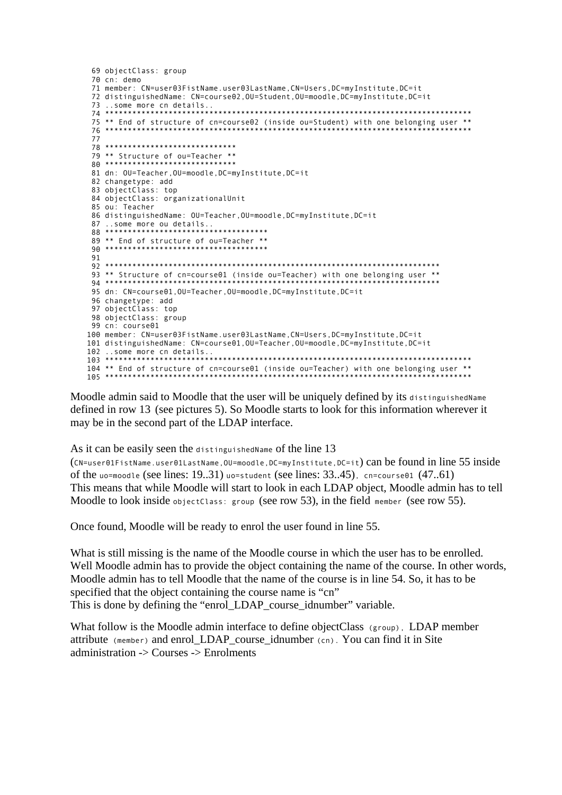```
69 objectClass: group
 70 \text{ cm}: demo
71 member: CN=user03FistName.user03LastName.CN=Users.DC=myInstitute.DC=it
72 distinguishedName: CN=course02,0U=Student,0U=moodle,DC=myInstitute,DC=it
73 ..some more cn details..
             74 ******
75 ** End of structure of cn=course02 (inside ou=Student) with one belonging user **
77
78 *****************************
79 ** Structure of ou=Teacher **
80 ******************************
81 dn: OU=Teacher.OU=moodle.DC=mvInstitute.DC=it
82 changetype: add
83 objectClass: top
84 objectClass: organizationalUnit
85 ou: Teacher
86 distinguishedName: OU=Teacher, OU=moodle, DC=myInstitute, DC=it
87 ..some more ou details..<br>88 *************************
89 ** End of structure of ou=Teacher **
9193 ** Structure of cn=course01 (inside ou=Teacher) with one belonging user **
94 ***
95 dn: CN=course01,0U=Teacher,0U=moodle,DC=myInstitute,DC=it
96 changetype: add
97 objectClass: top
98 objectClass: group
99 cn: course01
100 member: CN=user03FistName.user03LastName.CN=Users.DC=mvInstitute.DC=it
101 distinguishedName: CN=course01, OU=Teacher, OU=moodle, DC=myInstitute, DC=it
104 ** End of structure of cn=course01 (inside ou=Teacher) with one belonging user **
105 ****
```
Moodle admin said to Moodle that the user will be uniquely defined by its distinguished Name defined in row 13 (see pictures 5). So Moodle starts to look for this information wherever it may be in the second part of the LDAP interface.

As it can be easily seen the distinguished Name of the line 13

(CN=user01FistName.user01LastName.0U=moodle.DC=myInstitute.DC=it) can be found in line 55 inside of the uo=moodle (see lines:  $19..31$ ) uo=student (see lines:  $33..45$ ), cn=course01  $(47..61)$ This means that while Moodle will start to look in each LDAP object, Moodle admin has to tell Moodle to look inside objectClass: group (see row 53), in the field member (see row 55).

Once found, Moodle will be ready to enrol the user found in line 55.

What is still missing is the name of the Moodle course in which the user has to be enrolled. Well Moodle admin has to provide the object containing the name of the course. In other words, Moodle admin has to tell Moodle that the name of the course is in line 54. So, it has to be specified that the object containing the course name is "cn" This is done by defining the "enrol\_LDAP\_course\_idnumber" variable.

What follow is the Moodle admin interface to define objectClass (group), LDAP member attribute (member) and enrol\_LDAP\_course\_idnumber (cn). You can find it in Site administration -> Courses -> Enrolments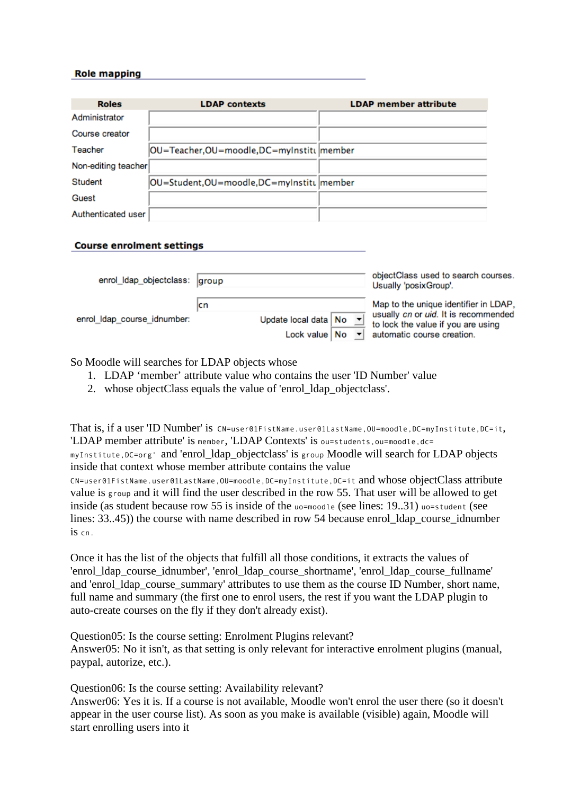#### **Role mapping**

| <b>Roles</b>        | <b>LDAP</b> contexts                       | <b>LDAP</b> member attribute |
|---------------------|--------------------------------------------|------------------------------|
| Administrator       |                                            |                              |
| Course creator      |                                            |                              |
| Teacher             | OU=Teacher,OU=moodle,DC=myInstitu member   |                              |
| Non-editing teacher |                                            |                              |
| Student             | OU=Student, OU=moodle, DC=myInstitu member |                              |
| Guest               |                                            |                              |
| Authenticated user  |                                            |                              |

#### **Course enrolment settings**

| enrol_Idap_objectclass: group |                                        | objectClass used to search courses.<br>Usually 'posixGroup'.               |
|-------------------------------|----------------------------------------|----------------------------------------------------------------------------|
|                               | ıcn                                    | Map to the unique identifier in LDAP,                                      |
| enrol_Idap_course_idnumber:   | Update local data   No   v             | usually cn or uid. It is recommended<br>to lock the value if you are using |
|                               | Lock value $ $ No $\blacktriangledown$ | automatic course creation.                                                 |

So Moodle will searches for LDAP objects whose

- 1. LDAP 'member' attribute value who contains the user 'ID Number' value
- 2. whose objectClass equals the value of 'enrol\_ldap\_objectclass'.

That is, if a user 'ID Number' is CN=user01FistName.user01LastName, OU=moodle, DC=myInstitute, DC=it, 'LDAP member attribute' is member, 'LDAP Contexts' is ou=students,ou=moodle,dc= myInstitute, DC=org' and 'enrol Idap objectclass' is group Moodle will search for LDAP objects inside that context whose member attribute contains the value CN=user01FistName.user01LastName,OU=moodle,DC=myInstitute,DC=it and whose objectClass attribute value is group and it will find the user described in the row 55. That user will be allowed to get inside (as student because row 55 is inside of the uo=moodle (see lines: 19..31) uo=student (see lines: 33..45)) the course with name described in row 54 because enrol\_ldap\_course\_idnumber is cn.

Once it has the list of the objects that fulfill all those conditions, it extracts the values of 'enrol\_ldap\_course\_idnumber', 'enrol\_ldap\_course\_shortname', 'enrol\_ldap\_course\_fullname' and 'enrol\_ldap\_course\_summary' attributes to use them as the course ID Number, short name, full name and summary (the first one to enrol users, the rest if you want the LDAP plugin to auto-create courses on the fly if they don't already exist).

Question05: Is the course setting: Enrolment Plugins relevant? Answer05: No it isn't, as that setting is only relevant for interactive enrolment plugins (manual, paypal, autorize, etc.).

Question06: Is the course setting: Availability relevant? Answer06: Yes it is. If a course is not available, Moodle won't enrol the user there (so it doesn't appear in the user course list). As soon as you make is available (visible) again, Moodle will start enrolling users into it